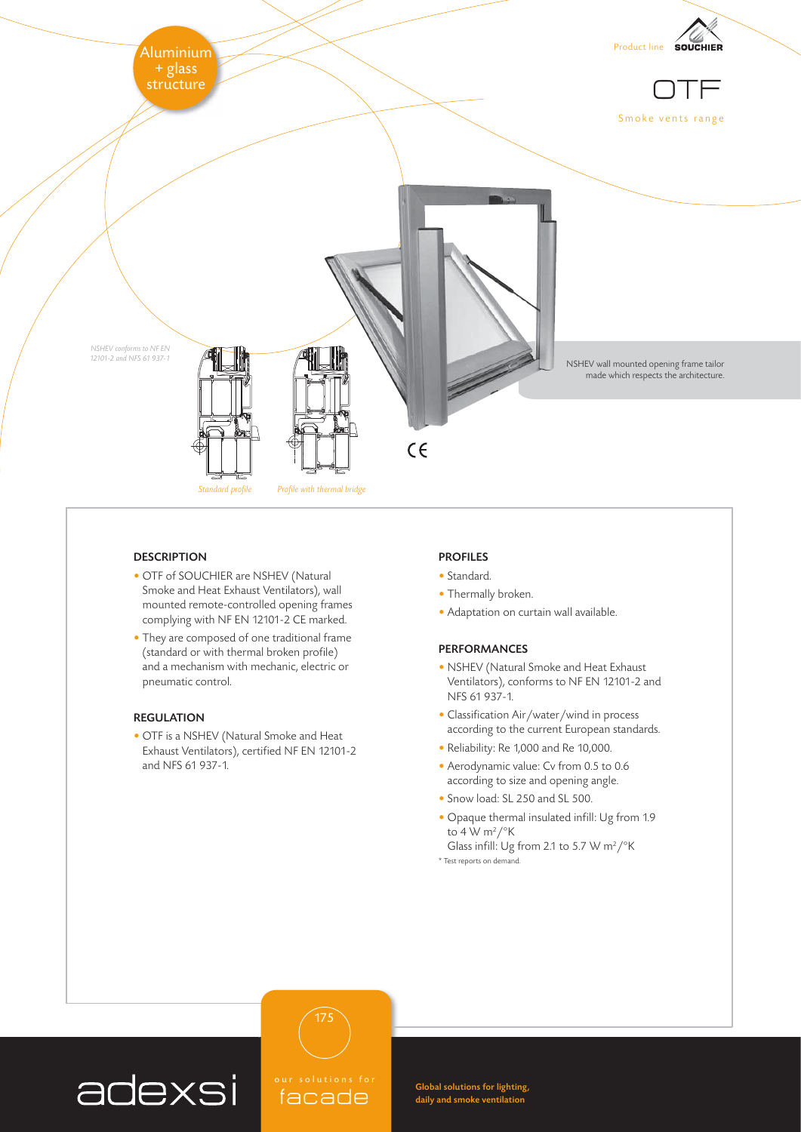

## **DESCRIPTION**

- OTF of SOUCHIER are NSHEV (Natural Smoke and Heat Exhaust Ventilators), wall mounted remote-controlled opening frames complying with NF EN 12101-2 CE marked.
- They are composed of one traditional frame (standard or with thermal broken profile) and a mechanism with mechanic, electric or pneumatic control.

## REGULATION

• OTF is a NSHEV (Natural Smoke and Heat Exhaust Ventilators), certified NF EN 12101-2 and NFS 61 937-1.

#### PROFILES

- Standard.
- Thermally broken.
- Adaptation on curtain wall available.

### PERFORMANCES

- NSHEV (Natural Smoke and Heat Exhaust Ventilators), conforms to NF EN 12101-2 and NFS 61 937-1.
- Classification Air/water/wind in process according to the current European standards.
- Reliability: Re 1,000 and Re 10,000.
- Aerodynamic value: Cv from 0.5 to 0.6 according to size and opening angle.
- Snow load: SL 250 and SL 500.
- Opaque thermal insulated infill: Ug from 1.9 to 4 W m<sup>2</sup>/ $\mathrm{K}$
- Glass infill: Ug from 2.1 to 5.7 W m<sup>2</sup>/ $\mathrm{K}$ \* Test reports on demand.



 $\mathfrak{colutions}$  for facade

175

Global solutions for lighting, daily and smoke ventilation